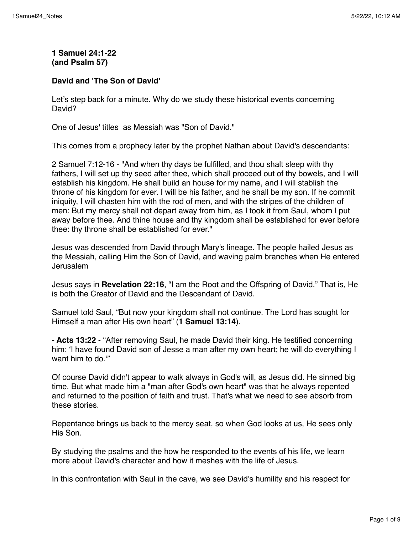# **1 Samuel 24:1-22 (and Psalm 57)**

### **David and 'The Son of David'**

Let's step back for a minute. Why do we study these historical events concerning David?

One of Jesus' titles as Messiah was "Son of David."

This comes from a prophecy later by the prophet Nathan about David's descendants:

2 Samuel 7:12-16 - "And when thy days be fulfilled, and thou shalt sleep with thy fathers, I will set up thy seed after thee, which shall proceed out of thy bowels, and I will establish his kingdom. He shall build an house for my name, and I will stablish the throne of his kingdom for ever. I will be his father, and he shall be my son. If he commit iniquity, I will chasten him with the rod of men, and with the stripes of the children of men: But my mercy shall not depart away from him, as I took it from Saul, whom I put away before thee. And thine house and thy kingdom shall be established for ever before thee: thy throne shall be established for ever."

Jesus was descended from David through Mary's lineage. The people hailed Jesus as the Messiah, calling Him the Son of David, and waving palm branches when He entered Jerusalem

Jesus says in **Revelation 22:16**, "I am the Root and the Offspring of David." That is, He is both the Creator of David and the Descendant of David.

Samuel told Saul, "But now your kingdom shall not continue. The Lord has sought for Himself a man after His own heart" (**1 Samuel 13:14**).

**- Acts 13:22** - "After removing Saul, he made David their king. He testified concerning him: 'I have found David son of Jesse a man after my own heart; he will do everything I want him to do."

Of course David didn't appear to walk always in God's will, as Jesus did. He sinned big time. But what made him a "man after God's own heart" was that he always repented and returned to the position of faith and trust. That's what we need to see absorb from these stories.

Repentance brings us back to the mercy seat, so when God looks at us, He sees only His Son.

By studying the psalms and the how he responded to the events of his life, we learn more about David's character and how it meshes with the life of Jesus.

In this confrontation with Saul in the cave, we see David's humility and his respect for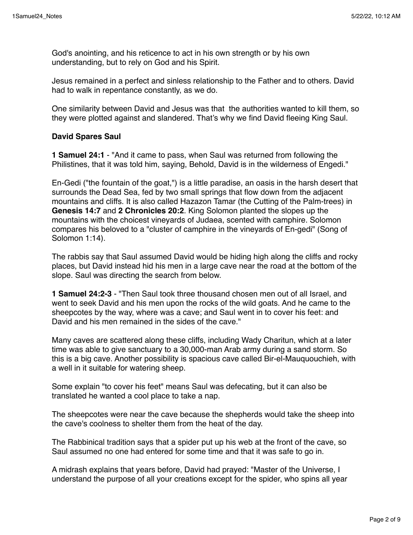God's anointing, and his reticence to act in his own strength or by his own understanding, but to rely on God and his Spirit.

Jesus remained in a perfect and sinless relationship to the Father and to others. David had to walk in repentance constantly, as we do.

One similarity between David and Jesus was that the authorities wanted to kill them, so they were plotted against and slandered. That's why we find David fleeing King Saul.

### **David Spares Saul**

**1 Samuel 24:1** - "And it came to pass, when Saul was returned from following the Philistines, that it was told him, saying, Behold, David is in the wilderness of Engedi."

En-Gedi ("the fountain of the goat,") is a little paradise, an oasis in the harsh desert that surrounds the Dead Sea, fed by two small springs that flow down from the adjacent mountains and cliffs. It is also called Hazazon Tamar (the Cutting of the Palm-trees) in **Genesis 14:7** and **2 Chronicles 20:2**. King Solomon planted the slopes up the mountains with the choicest vineyards of Judaea, scented with camphire. Solomon compares his beloved to a "cluster of camphire in the vineyards of En-gedi" (Song of Solomon 1:14).

The rabbis say that Saul assumed David would be hiding high along the cliffs and rocky places, but David instead hid his men in a large cave near the road at the bottom of the slope. Saul was directing the search from below.

**1 Samuel 24:2-3** - "Then Saul took three thousand chosen men out of all Israel, and went to seek David and his men upon the rocks of the wild goats. And he came to the sheepcotes by the way, where was a cave; and Saul went in to cover his feet: and David and his men remained in the sides of the cave."

Many caves are scattered along these cliffs, including Wady Charitun, which at a later time was able to give sanctuary to a 30,000-man Arab army during a sand storm. So this is a big cave. Another possibility is spacious cave called Bir-el-Mauquouchieh, with a well in it suitable for watering sheep.

Some explain "to cover his feet" means Saul was defecating, but it can also be translated he wanted a cool place to take a nap.

The sheepcotes were near the cave because the shepherds would take the sheep into the cave's coolness to shelter them from the heat of the day.

The Rabbinical tradition says that a spider put up his web at the front of the cave, so Saul assumed no one had entered for some time and that it was safe to go in.

A midrash explains that years before, David had prayed: "Master of the Universe, I understand the purpose of all your creations except for the spider, who spins all year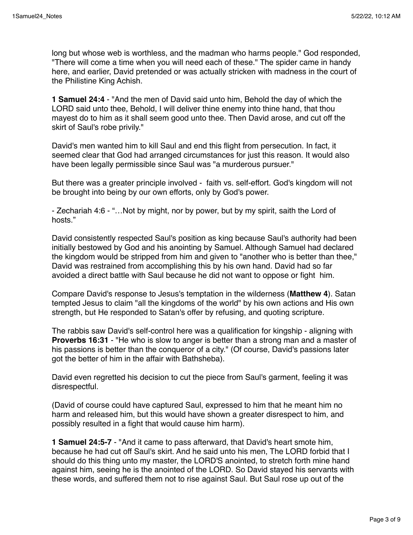long but whose web is worthless, and the madman who harms people." God responded, "There will come a time when you will need each of these." The spider came in handy here, and earlier, David pretended or was actually stricken with madness in the court of the Philistine King Achish.

**1 Samuel 24:4** - "And the men of David said unto him, Behold the day of which the LORD said unto thee, Behold, I will deliver thine enemy into thine hand, that thou mayest do to him as it shall seem good unto thee. Then David arose, and cut off the skirt of Saul's robe privily."

David's men wanted him to kill Saul and end this flight from persecution. In fact, it seemed clear that God had arranged circumstances for just this reason. It would also have been legally permissible since Saul was "a murderous pursuer."

But there was a greater principle involved - faith vs. self-effort. God's kingdom will not be brought into being by our own efforts, only by God's power.

- Zechariah 4:6 - "…Not by might, nor by power, but by my spirit, saith the Lord of hosts."

David consistently respected Saul's position as king because Saul's authority had been initially bestowed by God and his anointing by Samuel. Although Samuel had declared the kingdom would be stripped from him and given to "another who is better than thee," David was restrained from accomplishing this by his own hand. David had so far avoided a direct battle with Saul because he did not want to oppose or fight him.

Compare David's response to Jesus's temptation in the wilderness (**Matthew 4**). Satan tempted Jesus to claim "all the kingdoms of the world" by his own actions and His own strength, but He responded to Satan's offer by refusing, and quoting scripture.

The rabbis saw David's self-control here was a qualification for kingship - aligning with **Proverbs 16:31** - "He who is slow to anger is better than a strong man and a master of his passions is better than the conqueror of a city." (Of course, David's passions later got the better of him in the affair with Bathsheba).

David even regretted his decision to cut the piece from Saul's garment, feeling it was disrespectful.

(David of course could have captured Saul, expressed to him that he meant him no harm and released him, but this would have shown a greater disrespect to him, and possibly resulted in a fight that would cause him harm).

**1 Samuel 24:5-7** - "And it came to pass afterward, that David's heart smote him, because he had cut off Saul's skirt. And he said unto his men, The LORD forbid that I should do this thing unto my master, the LORD'S anointed, to stretch forth mine hand against him, seeing he is the anointed of the LORD. So David stayed his servants with these words, and suffered them not to rise against Saul. But Saul rose up out of the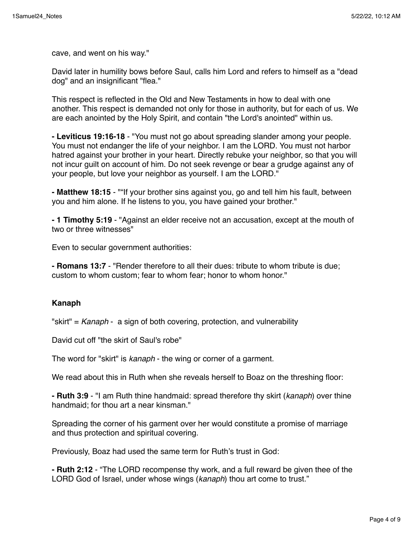cave, and went on his way."

David later in humility bows before Saul, calls him Lord and refers to himself as a "dead dog" and an insignificant "flea."

This respect is reflected in the Old and New Testaments in how to deal with one another. This respect is demanded not only for those in authority, but for each of us. We are each anointed by the Holy Spirit, and contain "the Lord's anointed" within us.

**- Leviticus 19:16-18** - "You must not go about spreading slander among your people. You must not endanger the life of your neighbor. I am the LORD. You must not harbor hatred against your brother in your heart. Directly rebuke your neighbor, so that you will not incur guilt on account of him. Do not seek revenge or bear a grudge against any of your people, but love your neighbor as yourself. I am the LORD."

**- Matthew 18:15** - ""If your brother sins against you, go and tell him his fault, between you and him alone. If he listens to you, you have gained your brother."

**- 1 Timothy 5:19** - "Against an elder receive not an accusation, except at the mouth of two or three witnesses"

Even to secular government authorities:

**- Romans 13:7** - "Render therefore to all their dues: tribute to whom tribute is due; custom to whom custom; fear to whom fear; honor to whom honor."

### **Kanaph**

"skirt" = *Kanaph* - a sign of both covering, protection, and vulnerability

David cut off "the skirt of Saul's robe"

The word for "skirt" is *kanaph* - the wing or corner of a garment.

We read about this in Ruth when she reveals herself to Boaz on the threshing floor:

**- Ruth 3:9** - "I am Ruth thine handmaid: spread therefore thy skirt (*kanaph*) over thine handmaid; for thou art a near kinsman."

Spreading the corner of his garment over her would constitute a promise of marriage and thus protection and spiritual covering.

Previously, Boaz had used the same term for Ruth's trust in God:

**- Ruth 2:12** - "The LORD recompense thy work, and a full reward be given thee of the LORD God of Israel, under whose wings (*kanaph*) thou art come to trust."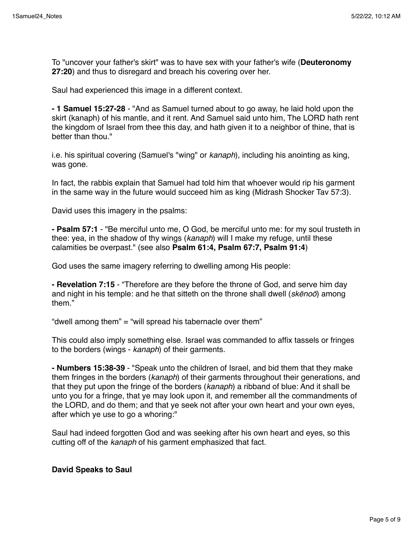To "uncover your father's skirt" was to have sex with your father's wife (**Deuteronomy 27:20**) and thus to disregard and breach his covering over her.

Saul had experienced this image in a different context.

**- 1 Samuel 15:27-28** - "And as Samuel turned about to go away, he laid hold upon the skirt (kanaph) of his mantle, and it rent. And Samuel said unto him, The LORD hath rent the kingdom of Israel from thee this day, and hath given it to a neighbor of thine, that is better than thou."

i.e. his spiritual covering (Samuel's "wing" or *kanaph*), including his anointing as king, was gone.

In fact, the rabbis explain that Samuel had told him that whoever would rip his garment in the same way in the future would succeed him as king (Midrash Shocker Tav 57:3).

David uses this imagery in the psalms:

**- Psalm 57:1** - "Be merciful unto me, O God, be merciful unto me: for my soul trusteth in thee: yea, in the shadow of thy wings (*kanaph*) will I make my refuge, until these calamities be overpast." (see also **Psalm 61:4, Psalm 67:7, Psalm 91:4**)

God uses the same imagery referring to dwelling among His people:

**- Revelation 7:15** - "Therefore are they before the throne of God, and serve him day and night in his temple: and he that sitteth on the throne shall dwell (*sk*ē*no*ō) among them."

"dwell among them" = "will spread his tabernacle over them"

This could also imply something else. Israel was commanded to affix tassels or fringes to the borders (wings - *kanaph*) of their garments.

**- Numbers 15:38-39** - "Speak unto the children of Israel, and bid them that they make them fringes in the borders (*kanaph*) of their garments throughout their generations, and that they put upon the fringe of the borders (*kanaph*) a ribband of blue: And it shall be unto you for a fringe, that ye may look upon it, and remember all the commandments of the LORD, and do them; and that ye seek not after your own heart and your own eyes, after which ye use to go a whoring:"

Saul had indeed forgotten God and was seeking after his own heart and eyes, so this cutting off of the *kanaph* of his garment emphasized that fact.

**David Speaks to Saul**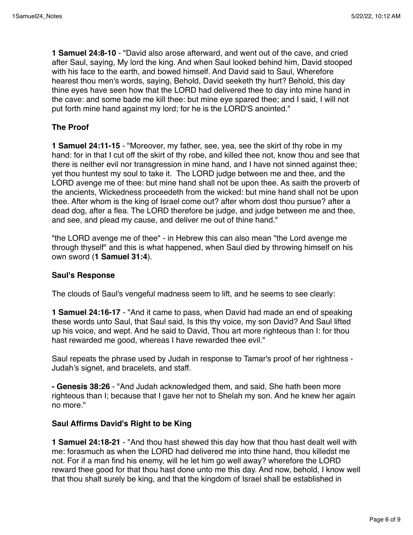**1 Samuel 24:8-10** - "David also arose afterward, and went out of the cave, and cried after Saul, saying, My lord the king. And when Saul looked behind him, David stooped with his face to the earth, and bowed himself. And David said to Saul, Wherefore hearest thou men's words, saying, Behold, David seeketh thy hurt? Behold, this day thine eyes have seen how that the LORD had delivered thee to day into mine hand in the cave: and some bade me kill thee: but mine eye spared thee; and I said, I will not put forth mine hand against my lord; for he is the LORD'S anointed."

## **The Proof**

**1 Samuel 24:11-15** - "Moreover, my father, see, yea, see the skirt of thy robe in my hand: for in that I cut off the skirt of thy robe, and killed thee not, know thou and see that there is neither evil nor transgression in mine hand, and I have not sinned against thee; yet thou huntest my soul to take it. The LORD judge between me and thee, and the LORD avenge me of thee: but mine hand shall not be upon thee. As saith the proverb of the ancients, Wickedness proceedeth from the wicked: but mine hand shall not be upon thee. After whom is the king of Israel come out? after whom dost thou pursue? after a dead dog, after a flea. The LORD therefore be judge, and judge between me and thee, and see, and plead my cause, and deliver me out of thine hand."

"the LORD avenge me of thee" - in Hebrew this can also mean "the Lord avenge me through thyself" and this is what happened, when Saul died by throwing himself on his own sword (**1 Samuel 31:4**).

### **Saul's Response**

The clouds of Saul's vengeful madness seem to lift, and he seems to see clearly:

**1 Samuel 24:16-17** - "And it came to pass, when David had made an end of speaking these words unto Saul, that Saul said, Is this thy voice, my son David? And Saul lifted up his voice, and wept. And he said to David, Thou art more righteous than I: for thou hast rewarded me good, whereas I have rewarded thee evil."

Saul repeats the phrase used by Judah in response to Tamar's proof of her rightness - Judah's signet, and bracelets, and staff.

**- Genesis 38:26** - "And Judah acknowledged them, and said, She hath been more righteous than I; because that I gave her not to Shelah my son. And he knew her again no more."

### **Saul Affirms David's Right to be King**

**1 Samuel 24:18-21** - "And thou hast shewed this day how that thou hast dealt well with me: forasmuch as when the LORD had delivered me into thine hand, thou killedst me not. For if a man find his enemy, will he let him go well away? wherefore the LORD reward thee good for that thou hast done unto me this day. And now, behold, I know well that thou shalt surely be king, and that the kingdom of Israel shall be established in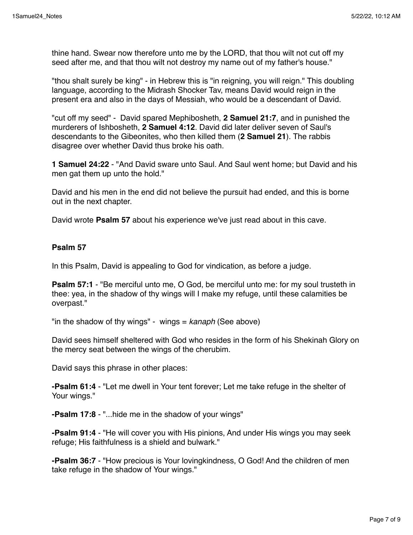thine hand. Swear now therefore unto me by the LORD, that thou wilt not cut off my seed after me, and that thou wilt not destroy my name out of my father's house."

"thou shalt surely be king" - in Hebrew this is "in reigning, you will reign." This doubling language, according to the Midrash Shocker Tav, means David would reign in the present era and also in the days of Messiah, who would be a descendant of David.

"cut off my seed" - David spared Mephibosheth, **2 Samuel 21:7**, and in punished the murderers of Ishbosheth, **2 Samuel 4:12**. David did later deliver seven of Saul's descendants to the Gibeonites, who then killed them (**2 Samuel 21**). The rabbis disagree over whether David thus broke his oath.

**1 Samuel 24:22** - "And David sware unto Saul. And Saul went home; but David and his men gat them up unto the hold."

David and his men in the end did not believe the pursuit had ended, and this is borne out in the next chapter.

David wrote **Psalm 57** about his experience we've just read about in this cave.

#### **Psalm 57**

In this Psalm, David is appealing to God for vindication, as before a judge.

**Psalm 57:1** - "Be merciful unto me, O God, be merciful unto me: for my soul trusteth in thee: yea, in the shadow of thy wings will I make my refuge, until these calamities be overpast."

"in the shadow of thy wings" - wings = *kanaph* (See above)

David sees himself sheltered with God who resides in the form of his Shekinah Glory on the mercy seat between the wings of the cherubim.

David says this phrase in other places:

**-Psalm 61:4** - "Let me dwell in Your tent forever; Let me take refuge in the shelter of Your wings."

**-Psalm 17:8** - "...hide me in the shadow of your wings"

**-Psalm 91:4** - "He will cover you with His pinions, And under His wings you may seek refuge; His faithfulness is a shield and bulwark."

**-Psalm 36:7** - "How precious is Your lovingkindness, O God! And the children of men take refuge in the shadow of Your wings."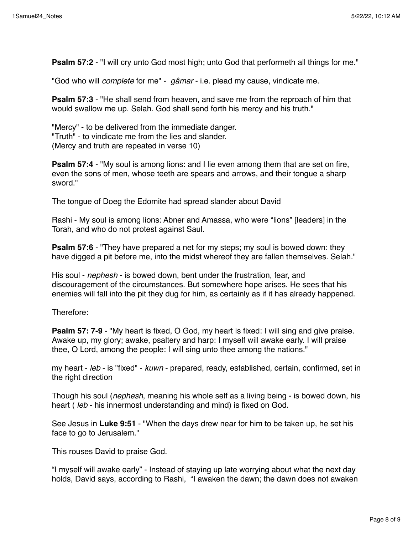**Psalm 57:2** - "I will cry unto God most high; unto God that performeth all things for me."

"God who will *complete* for me" - *gâmar* - i.e. plead my cause, vindicate me.

**Psalm 57:3** - "He shall send from heaven, and save me from the reproach of him that would swallow me up. Selah. God shall send forth his mercy and his truth."

"Mercy" - to be delivered from the immediate danger. "Truth" - to vindicate me from the lies and slander. (Mercy and truth are repeated in verse 10)

**Psalm 57:4** - "My soul is among lions: and I lie even among them that are set on fire, even the sons of men, whose teeth are spears and arrows, and their tongue a sharp sword."

The tongue of Doeg the Edomite had spread slander about David

Rashi - My soul is among lions: Abner and Amassa, who were "lions" [leaders] in the Torah, and who do not protest against Saul.

**Psalm 57:6** - "They have prepared a net for my steps; my soul is bowed down: they have digged a pit before me, into the midst whereof they are fallen themselves. Selah."

His soul - *nephesh* - is bowed down, bent under the frustration, fear, and discouragement of the circumstances. But somewhere hope arises. He sees that his enemies will fall into the pit they dug for him, as certainly as if it has already happened.

Therefore:

**Psalm 57: 7-9** - "My heart is fixed, O God, my heart is fixed: I will sing and give praise. Awake up, my glory; awake, psaltery and harp: I myself will awake early. I will praise thee, O Lord, among the people: I will sing unto thee among the nations."

my heart - *leb* - is "fixed" - *kuwn* - prepared, ready, established, certain, confirmed, set in the right direction

Though his soul (*nephesh*, meaning his whole self as a living being - is bowed down, his heart ( *leb* - his innermost understanding and mind) is fixed on God.

See Jesus in **Luke 9:51** - "When the days drew near for him to be taken up, he set his face to go to Jerusalem."

This rouses David to praise God.

"I myself will awake early" - Instead of staying up late worrying about what the next day holds, David says, according to Rashi, "I awaken the dawn; the dawn does not awaken